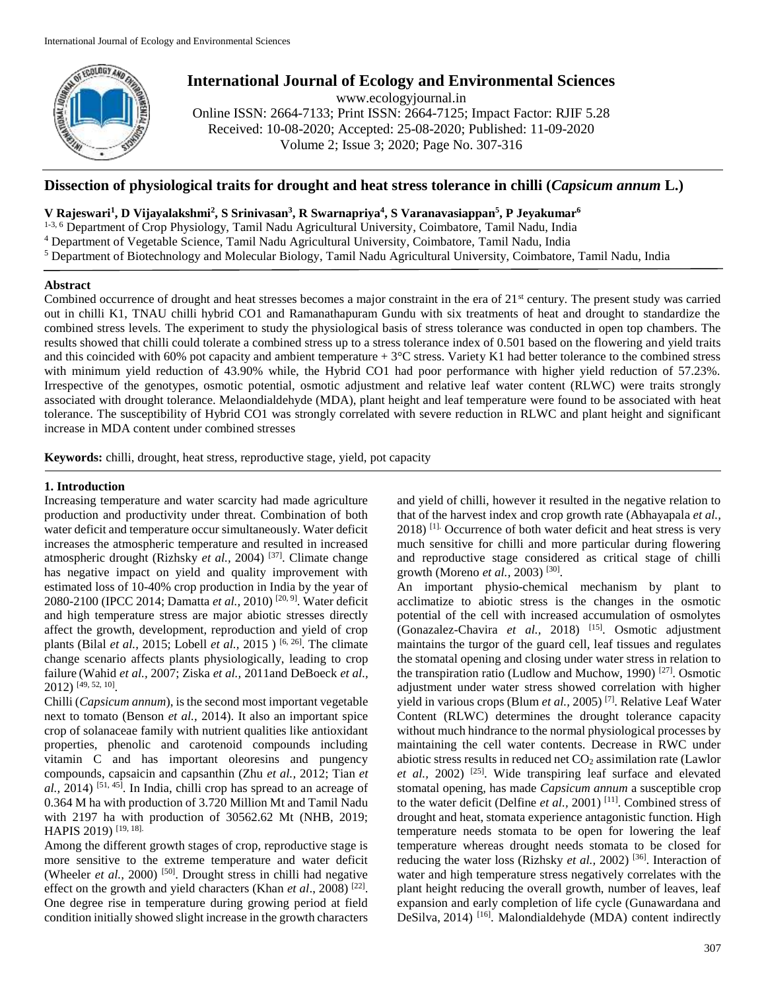

# **International Journal of Ecology and Environmental Sciences**

www.ecologyjournal.in

Online ISSN: 2664-7133; Print ISSN: 2664-7125; Impact Factor: RJIF 5.28 Received: 10-08-2020; Accepted: 25-08-2020; Published: 11-09-2020 Volume 2; Issue 3; 2020; Page No. 307-316

# **Dissection of physiological traits for drought and heat stress tolerance in chilli (***Capsicum annum* **L.)**

## **V Rajeswari<sup>1</sup> , D Vijayalakshmi<sup>2</sup> , S Srinivasan<sup>3</sup> , R Swarnapriya<sup>4</sup> , S Varanavasiappan<sup>5</sup> , P Jeyakumar<sup>6</sup>**

<sup>1-3, 6</sup> Department of Crop Physiology, Tamil Nadu Agricultural University, Coimbatore, Tamil Nadu, India

<sup>4</sup> Department of Vegetable Science, Tamil Nadu Agricultural University, Coimbatore, Tamil Nadu, India

<sup>5</sup> Department of Biotechnology and Molecular Biology, Tamil Nadu Agricultural University, Coimbatore, Tamil Nadu, India

### **Abstract**

Combined occurrence of drought and heat stresses becomes a major constraint in the era of  $21<sup>st</sup>$  century. The present study was carried out in chilli K1, TNAU chilli hybrid CO1 and Ramanathapuram Gundu with six treatments of heat and drought to standardize the combined stress levels. The experiment to study the physiological basis of stress tolerance was conducted in open top chambers. The results showed that chilli could tolerate a combined stress up to a stress tolerance index of 0.501 based on the flowering and yield traits and this coincided with 60% pot capacity and ambient temperature + 3°C stress. Variety K1 had better tolerance to the combined stress with minimum yield reduction of 43.90% while, the Hybrid CO1 had poor performance with higher yield reduction of 57.23%. Irrespective of the genotypes, osmotic potential, osmotic adjustment and relative leaf water content (RLWC) were traits strongly associated with drought tolerance. Melaondialdehyde (MDA), plant height and leaf temperature were found to be associated with heat tolerance. The susceptibility of Hybrid CO1 was strongly correlated with severe reduction in RLWC and plant height and significant increase in MDA content under combined stresses

**Keywords:** chilli, drought, heat stress, reproductive stage, yield, pot capacity

### **1. Introduction**

Increasing temperature and water scarcity had made agriculture production and productivity under threat. Combination of both water deficit and temperature occur simultaneously. Water deficit increases the atmospheric temperature and resulted in increased atmospheric drought (Rizhsky *et al.,* 2004) [37] . Climate change has negative impact on yield and quality improvement with estimated loss of 10-40% crop production in India by the year of 2080-2100 (IPCC 2014; Damatta *et al.,* 2010) [20, 9]. Water deficit and high temperature stress are major abiotic stresses directly affect the growth, development, reproduction and yield of crop plants (Bilal *et al.,* 2015; Lobell *et al.,* 2015 ) [6, 26]. The climate change scenario affects plants physiologically, leading to crop failure (Wahid *et al.,* 2007; Ziska *et al.,* 2011and DeBoeck *et al.,* 2012) [49, 52, 10] .

Chilli (*Capsicum annum*), is the second most important vegetable next to tomato (Benson *et al.,* 2014). It also an important spice crop of solanaceae family with nutrient qualities like antioxidant properties, phenolic and carotenoid compounds including vitamin C and has important oleoresins and pungency compounds, capsaicin and capsanthin (Zhu *et al.,* 2012; Tian *et*  al., 2014)<sup>[51, 45]</sup>. In India, chilli crop has spread to an acreage of 0.364 M ha with production of 3.720 Million Mt and Tamil Nadu with 2197 ha with production of 30562.62 Mt (NHB, 2019; HAPIS 2019)<sup>[19, 18].</sup>

Among the different growth stages of crop, reproductive stage is more sensitive to the extreme temperature and water deficit (Wheeler *et al.*, 2000)<sup>[50]</sup>. Drought stress in chilli had negative effect on the growth and yield characters (Khan *et al.*, 2008)<sup>[22]</sup>. One degree rise in temperature during growing period at field condition initially showed slight increase in the growth characters

and yield of chilli, however it resulted in the negative relation to that of the harvest index and crop growth rate (Abhayapala *et al.,* 2018) [1]. Occurrence of both water deficit and heat stress is very much sensitive for chilli and more particular during flowering and reproductive stage considered as critical stage of chilli growth (Moreno *et al.*, 2003)<sup>[30]</sup>.

An important physio-chemical mechanism by plant to acclimatize to abiotic stress is the changes in the osmotic potential of the cell with increased accumulation of osmolytes (Gonazalez-Chavira *et al.,* 2018) [15]. Osmotic adjustment maintains the turgor of the guard cell, leaf tissues and regulates the stomatal opening and closing under water stress in relation to the transpiration ratio (Ludlow and Muchow, 1990)  $[27]$ . Osmotic adjustment under water stress showed correlation with higher yield in various crops (Blum *et al.,* 2005) [7] . Relative Leaf Water Content (RLWC) determines the drought tolerance capacity without much hindrance to the normal physiological processes by maintaining the cell water contents. Decrease in RWC under abiotic stress results in reduced net  $CO<sub>2</sub>$  assimilation rate (Lawlor) et al., 2002)<sup>[25]</sup>. Wide transpiring leaf surface and elevated stomatal opening, has made *Capsicum annum* a susceptible crop to the water deficit (Delfine *et al.,* 2001) [11]. Combined stress of drought and heat, stomata experience antagonistic function. High temperature needs stomata to be open for lowering the leaf temperature whereas drought needs stomata to be closed for reducing the water loss (Rizhsky *et al.*, 2002)<sup>[36]</sup>. Interaction of water and high temperature stress negatively correlates with the plant height reducing the overall growth, number of leaves, leaf expansion and early completion of life cycle (Gunawardana and DeSilva, 2014)<sup>[16]</sup>. Malondialdehyde (MDA) content indirectly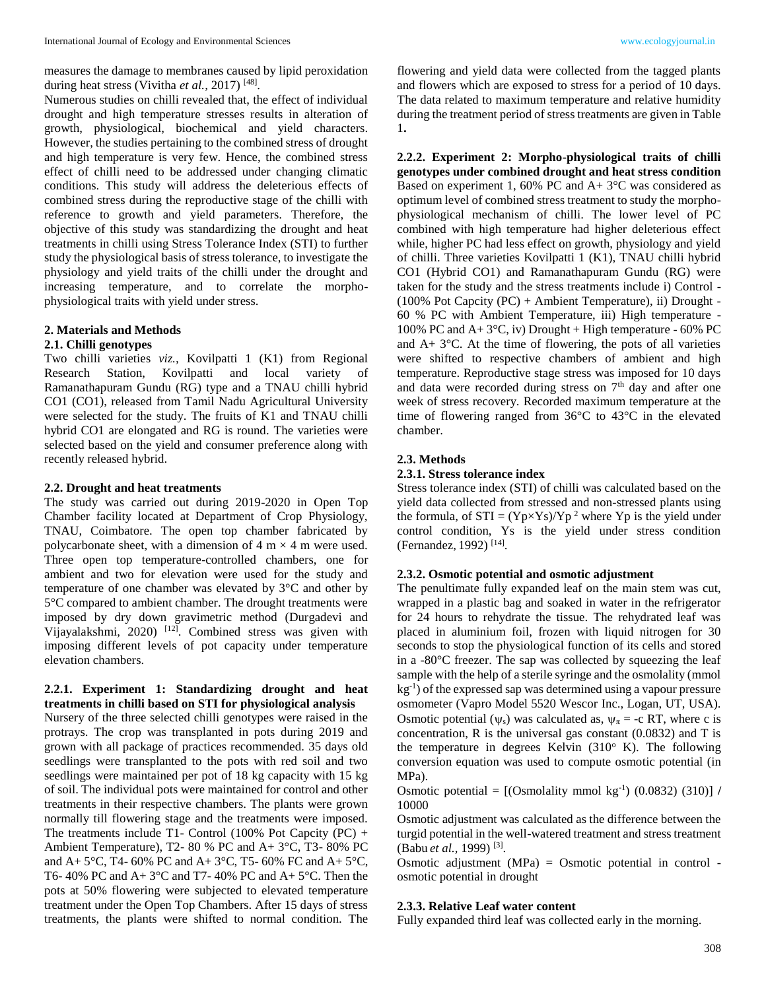measures the damage to membranes caused by lipid peroxidation during heat stress (Vivitha *et al.*, 2017)<sup>[48]</sup>.

Numerous studies on chilli revealed that, the effect of individual drought and high temperature stresses results in alteration of growth, physiological, biochemical and yield characters. However, the studies pertaining to the combined stress of drought and high temperature is very few. Hence, the combined stress effect of chilli need to be addressed under changing climatic conditions. This study will address the deleterious effects of combined stress during the reproductive stage of the chilli with reference to growth and yield parameters. Therefore, the objective of this study was standardizing the drought and heat treatments in chilli using Stress Tolerance Index (STI) to further study the physiological basis of stress tolerance, to investigate the physiology and yield traits of the chilli under the drought and increasing temperature, and to correlate the morphophysiological traits with yield under stress.

#### **2. Materials and Methods**

### **2.1. Chilli genotypes**

Two chilli varieties *viz.,* Kovilpatti 1 (K1) from Regional Research Station, Kovilpatti and local variety of Ramanathapuram Gundu (RG) type and a TNAU chilli hybrid CO1 (CO1), released from Tamil Nadu Agricultural University were selected for the study. The fruits of K1 and TNAU chilli hybrid CO1 are elongated and RG is round. The varieties were selected based on the yield and consumer preference along with recently released hybrid.

#### **2.2. Drought and heat treatments**

The study was carried out during 2019-2020 in Open Top Chamber facility located at Department of Crop Physiology, TNAU, Coimbatore. The open top chamber fabricated by polycarbonate sheet, with a dimension of  $4 \text{ m} \times 4 \text{ m}$  were used. Three open top temperature-controlled chambers, one for ambient and two for elevation were used for the study and temperature of one chamber was elevated by 3°C and other by 5°C compared to ambient chamber. The drought treatments were imposed by dry down gravimetric method (Durgadevi and Vijayalakshmi, 2020) [12]. Combined stress was given with imposing different levels of pot capacity under temperature elevation chambers.

### **2.2.1. Experiment 1: Standardizing drought and heat treatments in chilli based on STI for physiological analysis**

Nursery of the three selected chilli genotypes were raised in the protrays. The crop was transplanted in pots during 2019 and grown with all package of practices recommended. 35 days old seedlings were transplanted to the pots with red soil and two seedlings were maintained per pot of 18 kg capacity with 15 kg of soil. The individual pots were maintained for control and other treatments in their respective chambers. The plants were grown normally till flowering stage and the treatments were imposed. The treatments include T1- Control (100% Pot Capcity  $(PC)$  + Ambient Temperature), T2- 80 % PC and A+ 3°C, T3- 80% PC and A+ 5 $^{\circ}$ C, T4- 60% PC and A+ 3 $^{\circ}$ C, T5- 60% FC and A+ 5 $^{\circ}$ C, T6- 40% PC and A+ 3°C and T7- 40% PC and A+ 5°C. Then the pots at 50% flowering were subjected to elevated temperature treatment under the Open Top Chambers. After 15 days of stress treatments, the plants were shifted to normal condition. The flowering and yield data were collected from the tagged plants and flowers which are exposed to stress for a period of 10 days. The data related to maximum temperature and relative humidity during the treatment period of stress treatments are given in Table 1**.** 

**2.2.2. Experiment 2: Morpho-physiological traits of chilli genotypes under combined drought and heat stress condition** Based on experiment 1, 60% PC and A+ 3°C was considered as optimum level of combined stress treatment to study the morphophysiological mechanism of chilli. The lower level of PC combined with high temperature had higher deleterious effect while, higher PC had less effect on growth, physiology and yield of chilli. Three varieties Kovilpatti 1 (K1), TNAU chilli hybrid CO1 (Hybrid CO1) and Ramanathapuram Gundu (RG) were taken for the study and the stress treatments include i) Control - (100% Pot Capcity (PC) + Ambient Temperature), ii) Drought - 60 % PC with Ambient Temperature, iii) High temperature - 100% PC and A+ 3°C, iv) Drought + High temperature - 60% PC and  $A+3$ °C. At the time of flowering, the pots of all varieties were shifted to respective chambers of ambient and high temperature. Reproductive stage stress was imposed for 10 days and data were recorded during stress on  $7<sup>th</sup>$  day and after one week of stress recovery. Recorded maximum temperature at the time of flowering ranged from 36°C to 43°C in the elevated chamber.

### **2.3. Methods**

### **2.3.1. Stress tolerance index**

Stress tolerance index (STI) of chilli was calculated based on the yield data collected from stressed and non-stressed plants using the formula, of  $STI = (Yp \times Ys)/Yp^2$  where  $Yp$  is the yield under control condition, Ys is the yield under stress condition (Fernandez, 1992)<sup>[14]</sup>.

### **2.3.2. Osmotic potential and osmotic adjustment**

The penultimate fully expanded leaf on the main stem was cut, wrapped in a plastic bag and soaked in water in the refrigerator for 24 hours to rehydrate the tissue. The rehydrated leaf was placed in aluminium foil, frozen with liquid nitrogen for 30 seconds to stop the physiological function of its cells and stored in a -80°C freezer. The sap was collected by squeezing the leaf sample with the help of a sterile syringe and the osmolality (mmol kg-1 ) of the expressed sap was determined using a vapour pressure osmometer (Vapro Model 5520 Wescor Inc., Logan, UT, USA). Osmotic potential ( $\psi$ <sub>s</sub>) was calculated as,  $\psi$ <sub> $\pi$ </sub> = -c RT, where c is concentration,  $R$  is the universal gas constant  $(0.0832)$  and  $T$  is the temperature in degrees Kelvin  $(310^{\circ}$  K). The following conversion equation was used to compute osmotic potential (in MPa).

Osmotic potential =  $[(Osmolality mmol kg<sup>-1</sup>) (0.0832) (310)] /$ 10000

Osmotic adjustment was calculated as the difference between the turgid potential in the well-watered treatment and stress treatment (Babu *et al.,* 1999) [3] .

Osmotic adjustment (MPa) = Osmotic potential in control osmotic potential in drought

#### **2.3.3. Relative Leaf water content**

Fully expanded third leaf was collected early in the morning.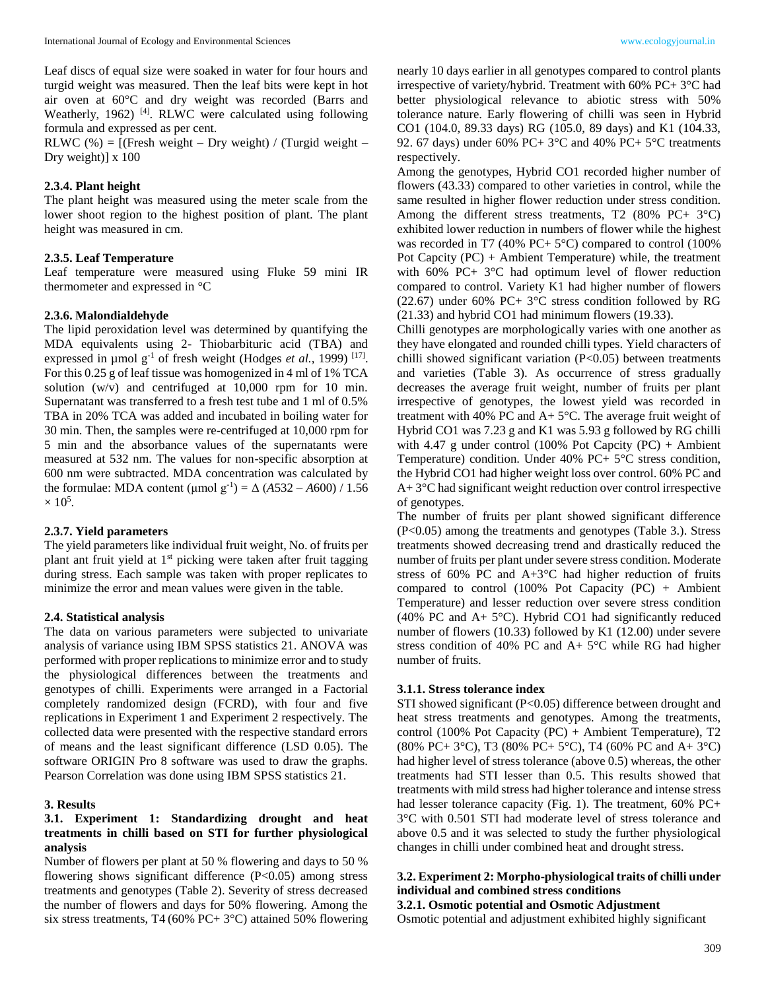Leaf discs of equal size were soaked in water for four hours and turgid weight was measured. Then the leaf bits were kept in hot air oven at 60°C and dry weight was recorded (Barrs and Weatherly, 1962) <sup>[4]</sup>. RLWC were calculated using following formula and expressed as per cent.

RLWC  $%$  = [(Fresh weight – Dry weight) / (Turgid weight – Dry weight)] x 100

### **2.3.4. Plant height**

The plant height was measured using the meter scale from the lower shoot region to the highest position of plant. The plant height was measured in cm.

### **2.3.5. Leaf Temperature**

Leaf temperature were measured using Fluke 59 mini IR thermometer and expressed in °C

#### **2.3.6. Malondialdehyde**

The lipid peroxidation level was determined by quantifying the MDA equivalents using 2- Thiobarbituric acid (TBA) and expressed in  $\mu$ mol g<sup>-1</sup> of fresh weight (Hodges *et al.*, 1999)<sup>[17]</sup>. For this 0.25 g of leaf tissue was homogenized in 4 ml of 1% TCA solution (w/v) and centrifuged at 10,000 rpm for 10 min. Supernatant was transferred to a fresh test tube and 1 ml of 0.5% TBA in 20% TCA was added and incubated in boiling water for 30 min. Then, the samples were re-centrifuged at 10,000 rpm for 5 min and the absorbance values of the supernatants were measured at 532 nm. The values for non-specific absorption at 600 nm were subtracted. MDA concentration was calculated by the formulae: MDA content ( $\mu$ mol g<sup>-1</sup>) =  $\Delta$  (*A*532 – *A*600) / 1.56  $\times$  10<sup>5</sup>.

#### **2.3.7. Yield parameters**

The yield parameters like individual fruit weight, No. of fruits per plant ant fruit yield at  $1<sup>st</sup>$  picking were taken after fruit tagging during stress. Each sample was taken with proper replicates to minimize the error and mean values were given in the table.

### **2.4. Statistical analysis**

The data on various parameters were subjected to univariate analysis of variance using IBM SPSS statistics 21. ANOVA was performed with proper replications to minimize error and to study the physiological differences between the treatments and genotypes of chilli. Experiments were arranged in a Factorial completely randomized design (FCRD), with four and five replications in Experiment 1 and Experiment 2 respectively. The collected data were presented with the respective standard errors of means and the least significant difference (LSD 0.05). The software ORIGIN Pro 8 software was used to draw the graphs. Pearson Correlation was done using IBM SPSS statistics 21.

#### **3. Results**

### **3.1. Experiment 1: Standardizing drought and heat treatments in chilli based on STI for further physiological analysis**

Number of flowers per plant at 50 % flowering and days to 50 % flowering shows significant difference  $(P<0.05)$  among stress treatments and genotypes (Table 2). Severity of stress decreased the number of flowers and days for 50% flowering. Among the six stress treatments, T4 (60% PC+ 3°C) attained 50% flowering

nearly 10 days earlier in all genotypes compared to control plants irrespective of variety/hybrid. Treatment with 60% PC+ 3°C had better physiological relevance to abiotic stress with 50% tolerance nature. Early flowering of chilli was seen in Hybrid CO1 (104.0, 89.33 days) RG (105.0, 89 days) and K1 (104.33, 92. 67 days) under 60% PC+ 3°C and 40% PC+ 5°C treatments respectively.

Among the genotypes, Hybrid CO1 recorded higher number of flowers (43.33) compared to other varieties in control, while the same resulted in higher flower reduction under stress condition. Among the different stress treatments, T2  $(80\% \text{ PC+ } 3\degree \text{C})$ exhibited lower reduction in numbers of flower while the highest was recorded in T7 (40% PC+  $5^{\circ}$ C) compared to control (100%) Pot Capcity  $(PC) +$  Ambient Temperature) while, the treatment with 60% PC+ 3°C had optimum level of flower reduction compared to control. Variety K1 had higher number of flowers (22.67) under 60% PC+ 3°C stress condition followed by RG (21.33) and hybrid CO1 had minimum flowers (19.33).

Chilli genotypes are morphologically varies with one another as they have elongated and rounded chilli types. Yield characters of chilli showed significant variation (P<0.05) between treatments and varieties (Table 3). As occurrence of stress gradually decreases the average fruit weight, number of fruits per plant irrespective of genotypes, the lowest yield was recorded in treatment with 40% PC and  $A + 5^{\circ}C$ . The average fruit weight of Hybrid CO1 was 7.23 g and K1 was 5.93 g followed by RG chilli with 4.47 g under control (100% Pot Capcity  $(PC) +$  Ambient Temperature) condition. Under 40% PC+ 5°C stress condition, the Hybrid CO1 had higher weight loss over control. 60% PC and A+ 3°C had significant weight reduction over control irrespective of genotypes.

The number of fruits per plant showed significant difference (P<0.05) among the treatments and genotypes (Table 3.). Stress treatments showed decreasing trend and drastically reduced the number of fruits per plant under severe stress condition. Moderate stress of 60% PC and  $A+3$ °C had higher reduction of fruits compared to control (100% Pot Capacity  $(PC)$  + Ambient Temperature) and lesser reduction over severe stress condition (40% PC and  $A+5^{\circ}C$ ). Hybrid CO1 had significantly reduced number of flowers (10.33) followed by K1 (12.00) under severe stress condition of 40% PC and A+ 5°C while RG had higher number of fruits.

#### **3.1.1. Stress tolerance index**

STI showed significant (P<0.05) difference between drought and heat stress treatments and genotypes. Among the treatments, control (100% Pot Capacity (PC) + Ambient Temperature), T2 (80% PC+ 3°C), T3 (80% PC+ 5°C), T4 (60% PC and A+ 3°C) had higher level of stress tolerance (above 0.5) whereas, the other treatments had STI lesser than 0.5. This results showed that treatments with mild stress had higher tolerance and intense stress had lesser tolerance capacity (Fig. 1). The treatment, 60% PC+ 3°C with 0.501 STI had moderate level of stress tolerance and above 0.5 and it was selected to study the further physiological changes in chilli under combined heat and drought stress.

### **3.2. Experiment 2: Morpho-physiological traits of chilli under individual and combined stress conditions**

#### **3.2.1. Osmotic potential and Osmotic Adjustment**

Osmotic potential and adjustment exhibited highly significant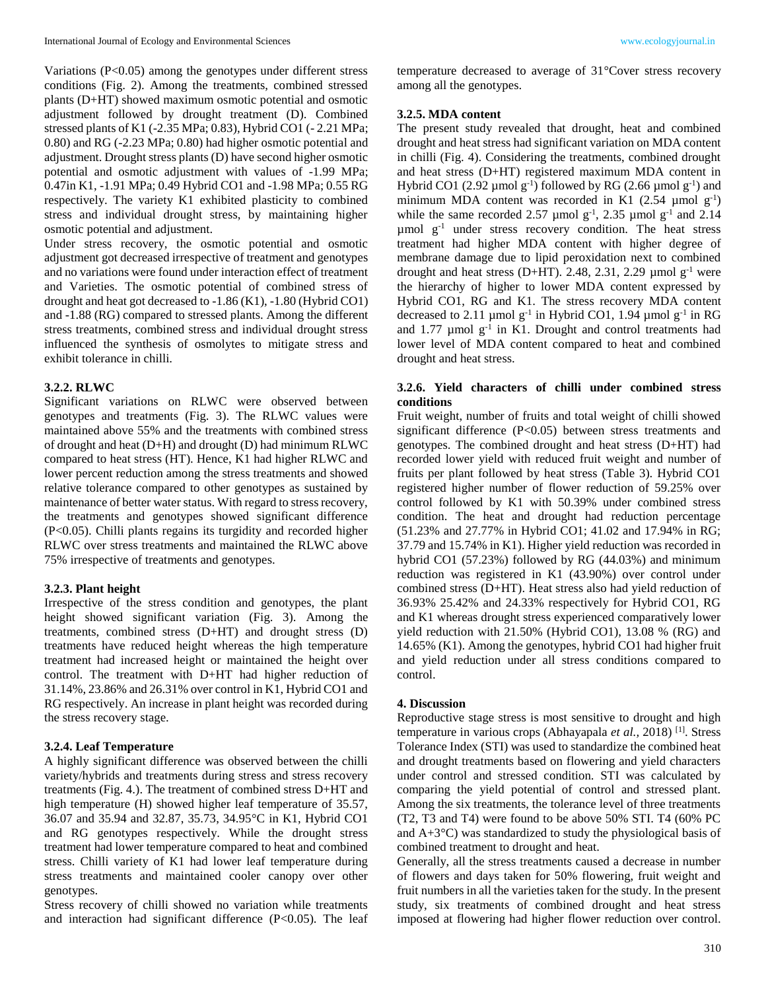Variations (P<0.05) among the genotypes under different stress conditions (Fig. 2). Among the treatments, combined stressed plants (D+HT) showed maximum osmotic potential and osmotic adjustment followed by drought treatment (D). Combined stressed plants of K1 (-2.35 MPa; 0.83), Hybrid CO1 (- 2.21 MPa; 0.80) and RG (-2.23 MPa; 0.80) had higher osmotic potential and adjustment. Drought stress plants (D) have second higher osmotic potential and osmotic adjustment with values of -1.99 MPa; 0.47in K1, -1.91 MPa; 0.49 Hybrid CO1 and -1.98 MPa; 0.55 RG respectively. The variety K1 exhibited plasticity to combined stress and individual drought stress, by maintaining higher osmotic potential and adjustment.

Under stress recovery, the osmotic potential and osmotic adjustment got decreased irrespective of treatment and genotypes and no variations were found under interaction effect of treatment and Varieties. The osmotic potential of combined stress of drought and heat got decreased to -1.86 (K1), -1.80 (Hybrid CO1) and -1.88 (RG) compared to stressed plants. Among the different stress treatments, combined stress and individual drought stress influenced the synthesis of osmolytes to mitigate stress and exhibit tolerance in chilli.

### **3.2.2. RLWC**

Significant variations on RLWC were observed between genotypes and treatments (Fig. 3). The RLWC values were maintained above 55% and the treatments with combined stress of drought and heat (D+H) and drought (D) had minimum RLWC compared to heat stress (HT). Hence, K1 had higher RLWC and lower percent reduction among the stress treatments and showed relative tolerance compared to other genotypes as sustained by maintenance of better water status. With regard to stress recovery, the treatments and genotypes showed significant difference (P<0.05). Chilli plants regains its turgidity and recorded higher RLWC over stress treatments and maintained the RLWC above 75% irrespective of treatments and genotypes.

#### **3.2.3. Plant height**

Irrespective of the stress condition and genotypes, the plant height showed significant variation (Fig. 3). Among the treatments, combined stress (D+HT) and drought stress (D) treatments have reduced height whereas the high temperature treatment had increased height or maintained the height over control. The treatment with D+HT had higher reduction of 31.14%, 23.86% and 26.31% over control in K1, Hybrid CO1 and RG respectively. An increase in plant height was recorded during the stress recovery stage.

### **3.2.4. Leaf Temperature**

A highly significant difference was observed between the chilli variety/hybrids and treatments during stress and stress recovery treatments (Fig. 4.). The treatment of combined stress D+HT and high temperature (H) showed higher leaf temperature of 35.57, 36.07 and 35.94 and 32.87, 35.73, 34.95°C in K1, Hybrid CO1 and RG genotypes respectively. While the drought stress treatment had lower temperature compared to heat and combined stress. Chilli variety of K1 had lower leaf temperature during stress treatments and maintained cooler canopy over other genotypes.

Stress recovery of chilli showed no variation while treatments and interaction had significant difference (P<0.05). The leaf temperature decreased to average of 31°Cover stress recovery among all the genotypes.

#### **3.2.5. MDA content**

The present study revealed that drought, heat and combined drought and heat stress had significant variation on MDA content in chilli (Fig. 4). Considering the treatments, combined drought and heat stress (D+HT) registered maximum MDA content in Hybrid CO1 (2.92 µmol  $g^{-1}$ ) followed by RG (2.66 µmol  $g^{-1}$ ) and minimum MDA content was recorded in K1  $(2.54 \text{ \mu mol g}^{-1})$ while the same recorded 2.57 µmol  $g^{-1}$ , 2.35 µmol  $g^{-1}$  and 2.14 µmol g-1 under stress recovery condition. The heat stress treatment had higher MDA content with higher degree of membrane damage due to lipid peroxidation next to combined drought and heat stress (D+HT). 2.48, 2.31, 2.29  $\mu$ mol g<sup>-1</sup> were the hierarchy of higher to lower MDA content expressed by Hybrid CO1, RG and K1. The stress recovery MDA content decreased to 2.11 µmol  $g^{-1}$  in Hybrid CO1, 1.94 µmol  $g^{-1}$  in RG and  $1.77 \mu$ mol  $g^{-1}$  in K1. Drought and control treatments had lower level of MDA content compared to heat and combined drought and heat stress.

### **3.2.6. Yield characters of chilli under combined stress conditions**

Fruit weight, number of fruits and total weight of chilli showed significant difference (P<0.05) between stress treatments and genotypes. The combined drought and heat stress (D+HT) had recorded lower yield with reduced fruit weight and number of fruits per plant followed by heat stress (Table 3). Hybrid CO1 registered higher number of flower reduction of 59.25% over control followed by K1 with 50.39% under combined stress condition. The heat and drought had reduction percentage (51.23% and 27.77% in Hybrid CO1; 41.02 and 17.94% in RG; 37.79 and 15.74% in K1). Higher yield reduction was recorded in hybrid CO1 (57.23%) followed by RG (44.03%) and minimum reduction was registered in K1 (43.90%) over control under combined stress (D+HT). Heat stress also had yield reduction of 36.93% 25.42% and 24.33% respectively for Hybrid CO1, RG and K1 whereas drought stress experienced comparatively lower yield reduction with 21.50% (Hybrid CO1), 13.08 % (RG) and 14.65% (K1). Among the genotypes, hybrid CO1 had higher fruit and yield reduction under all stress conditions compared to control.

### **4. Discussion**

Reproductive stage stress is most sensitive to drought and high temperature in various crops (Abhayapala *et al.,* 2018) [1]. Stress Tolerance Index (STI) was used to standardize the combined heat and drought treatments based on flowering and yield characters under control and stressed condition. STI was calculated by comparing the yield potential of control and stressed plant. Among the six treatments, the tolerance level of three treatments (T2, T3 and T4) were found to be above 50% STI. T4 (60% PC and  $A+3^{\circ}C$ ) was standardized to study the physiological basis of combined treatment to drought and heat.

Generally, all the stress treatments caused a decrease in number of flowers and days taken for 50% flowering, fruit weight and fruit numbers in all the varieties taken for the study. In the present study, six treatments of combined drought and heat stress imposed at flowering had higher flower reduction over control.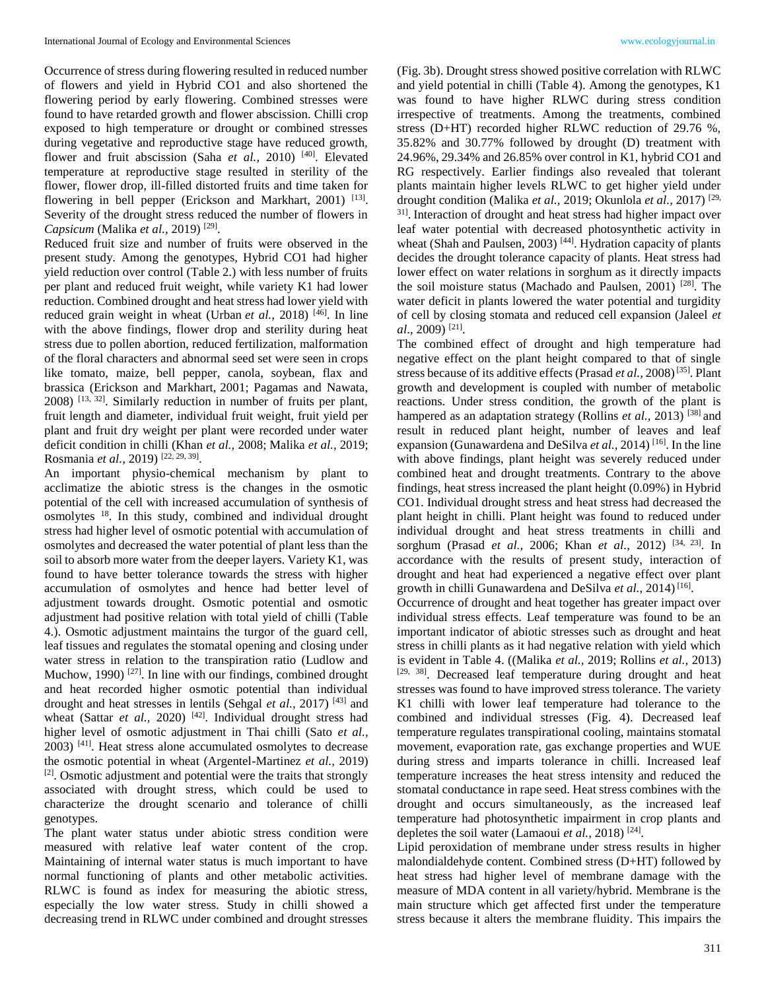Occurrence of stress during flowering resulted in reduced number of flowers and yield in Hybrid CO1 and also shortened the flowering period by early flowering. Combined stresses were found to have retarded growth and flower abscission. Chilli crop exposed to high temperature or drought or combined stresses during vegetative and reproductive stage have reduced growth, flower and fruit abscission (Saha et al., 2010)<sup>[40]</sup>. Elevated temperature at reproductive stage resulted in sterility of the flower, flower drop, ill-filled distorted fruits and time taken for flowering in bell pepper (Erickson and Markhart, 2001)<sup>[13]</sup>. Severity of the drought stress reduced the number of flowers in *Capsicum* (Malika *et al.,* 2019) [29] .

Reduced fruit size and number of fruits were observed in the present study. Among the genotypes, Hybrid CO1 had higher yield reduction over control (Table 2.) with less number of fruits per plant and reduced fruit weight, while variety K1 had lower reduction. Combined drought and heat stress had lower yield with reduced grain weight in wheat (Urban *et al.*, 2018)<sup>[46]</sup>. In line with the above findings, flower drop and sterility during heat stress due to pollen abortion, reduced fertilization, malformation of the floral characters and abnormal seed set were seen in crops like tomato, maize, bell pepper, canola, soybean, flax and brassica (Erickson and Markhart, 2001; Pagamas and Nawata, 2008) [13, 32]. Similarly reduction in number of fruits per plant, fruit length and diameter, individual fruit weight, fruit yield per plant and fruit dry weight per plant were recorded under water deficit condition in chilli (Khan *et al.,* 2008; Malika *et al.,* 2019; Rosmania *et al.*, 2019)<sup>[22, 29, 39].</sup>

An important physio-chemical mechanism by plant to acclimatize the abiotic stress is the changes in the osmotic potential of the cell with increased accumulation of synthesis of osmolytes <sup>18</sup>. In this study, combined and individual drought stress had higher level of osmotic potential with accumulation of osmolytes and decreased the water potential of plant less than the soil to absorb more water from the deeper layers. Variety K1, was found to have better tolerance towards the stress with higher accumulation of osmolytes and hence had better level of adjustment towards drought. Osmotic potential and osmotic adjustment had positive relation with total yield of chilli (Table 4.). Osmotic adjustment maintains the turgor of the guard cell, leaf tissues and regulates the stomatal opening and closing under water stress in relation to the transpiration ratio (Ludlow and Muchow, 1990)<sup>[27]</sup>. In line with our findings, combined drought and heat recorded higher osmotic potential than individual drought and heat stresses in lentils (Sehgal *et al.,* 2017) [43] and wheat (Sattar *et al.,* 2020)<sup>[42]</sup>. Individual drought stress had higher level of osmotic adjustment in Thai chilli (Sato *et al.,*  $2003$ )  $^{[41]}$ . Heat stress alone accumulated osmolytes to decrease the osmotic potential in wheat (Argentel-Martinez *et al.,* 2019) [2]. Osmotic adjustment and potential were the traits that strongly associated with drought stress, which could be used to characterize the drought scenario and tolerance of chilli genotypes.

The plant water status under abiotic stress condition were measured with relative leaf water content of the crop. Maintaining of internal water status is much important to have normal functioning of plants and other metabolic activities. RLWC is found as index for measuring the abiotic stress, especially the low water stress. Study in chilli showed a decreasing trend in RLWC under combined and drought stresses

(Fig. 3b). Drought stress showed positive correlation with RLWC and yield potential in chilli (Table 4). Among the genotypes, K1 was found to have higher RLWC during stress condition irrespective of treatments. Among the treatments, combined stress (D+HT) recorded higher RLWC reduction of 29.76 %, 35.82% and 30.77% followed by drought (D) treatment with 24.96%, 29.34% and 26.85% over control in K1, hybrid CO1 and RG respectively. Earlier findings also revealed that tolerant plants maintain higher levels RLWC to get higher yield under drought condition (Malika *et al.,* 2019; Okunlola *et al.,* 2017) [29, <sup>31]</sup>. Interaction of drought and heat stress had higher impact over leaf water potential with decreased photosynthetic activity in wheat (Shah and Paulsen, 2003)<sup>[44]</sup>. Hydration capacity of plants decides the drought tolerance capacity of plants. Heat stress had lower effect on water relations in sorghum as it directly impacts the soil moisture status (Machado and Paulsen, 2001) [28]. The water deficit in plants lowered the water potential and turgidity of cell by closing stomata and reduced cell expansion (Jaleel *et al*., 2009) [21] .

The combined effect of drought and high temperature had negative effect on the plant height compared to that of single stress because of its additive effects (Prasad *et al.*, 2008)<sup>[35]</sup>. Plant growth and development is coupled with number of metabolic reactions. Under stress condition, the growth of the plant is hampered as an adaptation strategy (Rollins *et al.*, 2013)<sup>[38]</sup> and result in reduced plant height, number of leaves and leaf expansion (Gunawardena and DeSilva *et al.*, 2014)<sup>[16]</sup>. In the line with above findings, plant height was severely reduced under combined heat and drought treatments. Contrary to the above findings, heat stress increased the plant height (0.09%) in Hybrid CO1. Individual drought stress and heat stress had decreased the plant height in chilli. Plant height was found to reduced under individual drought and heat stress treatments in chilli and sorghum (Prasad *et al.,* 2006; Khan *et al.,* 2012) [34, 23] . In accordance with the results of present study, interaction of drought and heat had experienced a negative effect over plant growth in chilli Gunawardena and DeSilva et al., 2014)<sup>[16]</sup>.

Occurrence of drought and heat together has greater impact over individual stress effects. Leaf temperature was found to be an important indicator of abiotic stresses such as drought and heat stress in chilli plants as it had negative relation with yield which is evident in Table 4. ((Malika *et al.,* 2019; Rollins *et al.,* 2013) [29, 38]. Decreased leaf temperature during drought and heat stresses was found to have improved stress tolerance. The variety K1 chilli with lower leaf temperature had tolerance to the combined and individual stresses (Fig. 4). Decreased leaf temperature regulates transpirational cooling, maintains stomatal movement, evaporation rate, gas exchange properties and WUE during stress and imparts tolerance in chilli. Increased leaf temperature increases the heat stress intensity and reduced the stomatal conductance in rape seed. Heat stress combines with the drought and occurs simultaneously, as the increased leaf temperature had photosynthetic impairment in crop plants and depletes the soil water (Lamaoui *et al.*, 2018)<sup>[24]</sup>.

Lipid peroxidation of membrane under stress results in higher malondialdehyde content. Combined stress (D+HT) followed by heat stress had higher level of membrane damage with the measure of MDA content in all variety/hybrid. Membrane is the main structure which get affected first under the temperature stress because it alters the membrane fluidity. This impairs the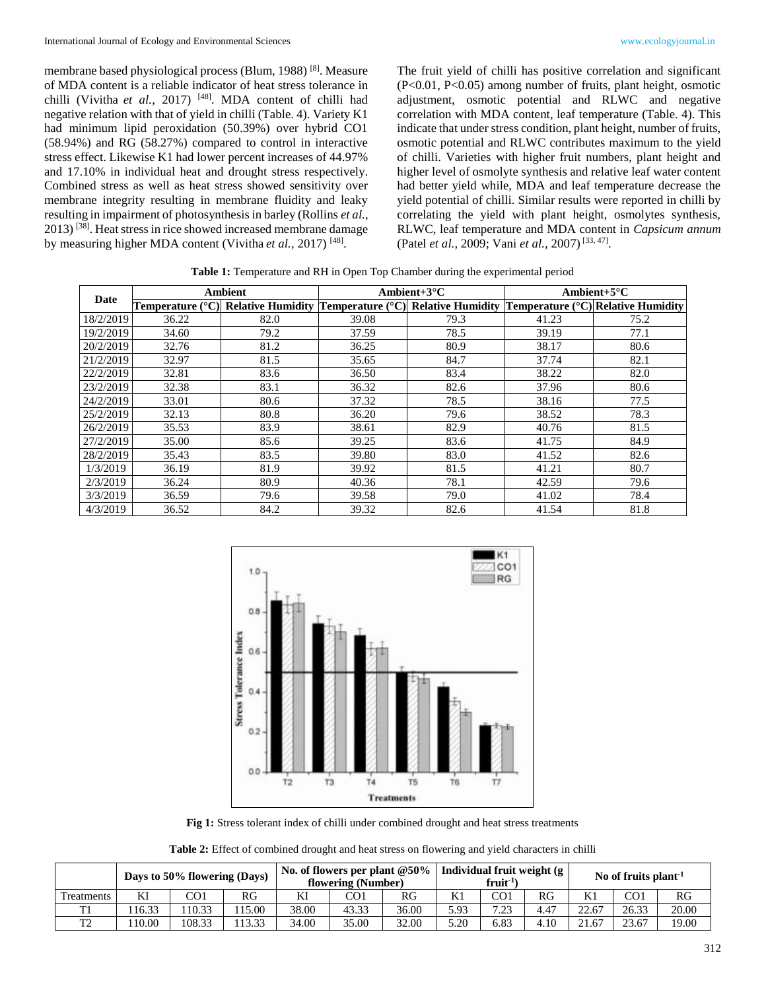membrane based physiological process (Blum, 1988) [8]. Measure of MDA content is a reliable indicator of heat stress tolerance in chilli (Vivitha *et al.,* 2017) [48]. MDA content of chilli had negative relation with that of yield in chilli (Table. 4). Variety K1 had minimum lipid peroxidation (50.39%) over hybrid CO1 (58.94%) and RG (58.27%) compared to control in interactive stress effect. Likewise K1 had lower percent increases of 44.97% and 17.10% in individual heat and drought stress respectively. Combined stress as well as heat stress showed sensitivity over membrane integrity resulting in membrane fluidity and leaky resulting in impairment of photosynthesis in barley (Rollins *et al.,* 2013) [38]. Heat stress in rice showed increased membrane damage by measuring higher MDA content (Vivitha et al., 2017)<sup>[48]</sup>.

The fruit yield of chilli has positive correlation and significant (P<0.01, P<0.05) among number of fruits, plant height, osmotic adjustment, osmotic potential and RLWC and negative correlation with MDA content, leaf temperature (Table. 4). This indicate that under stress condition, plant height, number of fruits, osmotic potential and RLWC contributes maximum to the yield of chilli. Varieties with higher fruit numbers, plant height and higher level of osmolyte synthesis and relative leaf water content had better yield while, MDA and leaf temperature decrease the yield potential of chilli. Similar results were reported in chilli by correlating the yield with plant height, osmolytes synthesis, RLWC, leaf temperature and MDA content in *Capsicum annum*  (Patel *et al.,* 2009; Vani *et al.,* 2007) [33, 47] .

|           |       | <b>Ambient</b>                                                                                               |       | Ambient+ $3^{\circ}$ C | Ambient+ $5^{\circ}$ C |      |  |
|-----------|-------|--------------------------------------------------------------------------------------------------------------|-------|------------------------|------------------------|------|--|
| Date      |       | Temperature (°C)  Relative Humidity  Temperature (°C)  Relative Humidity  Temperature (°C) Relative Humidity |       |                        |                        |      |  |
| 18/2/2019 | 36.22 | 82.0                                                                                                         | 39.08 | 79.3                   | 41.23                  | 75.2 |  |
| 19/2/2019 | 34.60 | 79.2                                                                                                         | 37.59 | 78.5                   | 39.19                  | 77.1 |  |
| 20/2/2019 | 32.76 | 81.2                                                                                                         | 36.25 | 80.9                   | 38.17                  | 80.6 |  |
| 21/2/2019 | 32.97 | 81.5                                                                                                         | 35.65 | 84.7                   | 37.74                  | 82.1 |  |
| 22/2/2019 | 32.81 | 83.6                                                                                                         | 36.50 | 83.4                   | 38.22                  | 82.0 |  |
| 23/2/2019 | 32.38 | 83.1                                                                                                         | 36.32 | 82.6                   | 37.96                  | 80.6 |  |
| 24/2/2019 | 33.01 | 80.6                                                                                                         | 37.32 | 78.5                   | 38.16                  | 77.5 |  |
| 25/2/2019 | 32.13 | 80.8                                                                                                         | 36.20 | 79.6                   | 38.52                  | 78.3 |  |
| 26/2/2019 | 35.53 | 83.9                                                                                                         | 38.61 | 82.9                   | 40.76                  | 81.5 |  |
| 27/2/2019 | 35.00 | 85.6                                                                                                         | 39.25 | 83.6                   | 41.75                  | 84.9 |  |
| 28/2/2019 | 35.43 | 83.5                                                                                                         | 39.80 | 83.0                   | 41.52                  | 82.6 |  |
| 1/3/2019  | 36.19 | 81.9                                                                                                         | 39.92 | 81.5                   | 41.21                  | 80.7 |  |
| 2/3/2019  | 36.24 | 80.9                                                                                                         | 40.36 | 78.1                   | 42.59                  | 79.6 |  |
| 3/3/2019  | 36.59 | 79.6                                                                                                         | 39.58 | 79.0                   | 41.02                  | 78.4 |  |
| 4/3/2019  | 36.52 | 84.2                                                                                                         | 39.32 | 82.6                   | 41.54                  | 81.8 |  |

**Table 1:** Temperature and RH in Open Top Chamber during the experimental period



**Fig 1:** Stress tolerant index of chilli under combined drought and heat stress treatments

| Table 2: Effect of combined drought and heat stress on flowering and yield characters in chilli |  |  |  |  |
|-------------------------------------------------------------------------------------------------|--|--|--|--|
|                                                                                                 |  |  |  |  |

|            | Days to 50% flowering (Days) |        |       | No. of flowers per plant $@50\%$<br>flowering (Number) |       |       | Individual fruit weight (g<br>$fruit-1$ |      |      | No of fruits plant <sup>-1</sup> |       |       |
|------------|------------------------------|--------|-------|--------------------------------------------------------|-------|-------|-----------------------------------------|------|------|----------------------------------|-------|-------|
| Treatments | ΚI                           | CO1    | RG    | KI                                                     | CO1   | RG    | K1                                      | CO1  | RG   | TZ.                              | CO1   | RG    |
| T1         | 16.33                        | 10.33  | 15.00 | 38.00                                                  | 43.33 | 36.00 | 5.93                                    | 7.22 | 4.47 | 22.67                            | 26.33 | 20.00 |
| ጥን<br>∸    | 10.00                        | 108.33 | 13.33 | 34.00                                                  | 35.00 | 32.00 | 5.20                                    | 6.83 | 4.10 | 21.67                            | 23.67 | 19.00 |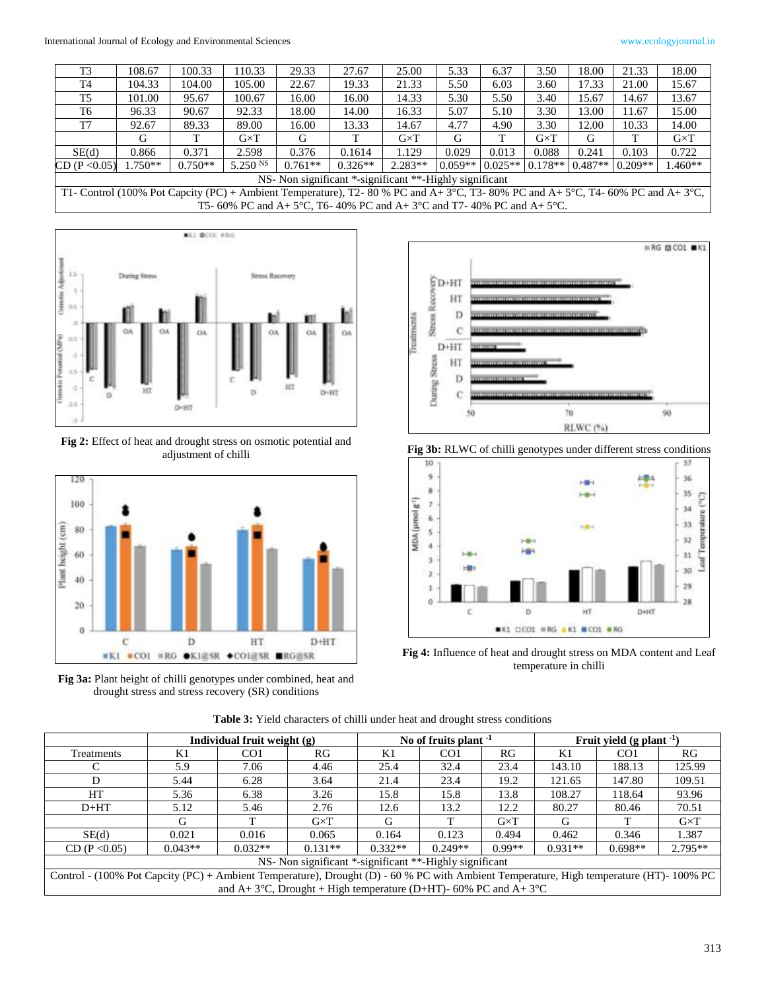| T <sub>3</sub>                                          | 108.67                                                                                                                           | 100.33    | 110.33       | 29.33                                                                   | 27.67     | 25.00             | 5.33      | 6.37                | 3.50         | 18.00     | 21.33     | 18.00        |
|---------------------------------------------------------|----------------------------------------------------------------------------------------------------------------------------------|-----------|--------------|-------------------------------------------------------------------------|-----------|-------------------|-----------|---------------------|--------------|-----------|-----------|--------------|
| T <sub>4</sub>                                          | 104.33                                                                                                                           | 104.00    | 105.00       | 22.67                                                                   | 19.33     | 21.33             | 5.50      | 6.03                | 3.60         | 17.33     | 21.00     | 15.67        |
| T <sub>5</sub>                                          | 101.00                                                                                                                           | 95.67     | 100.67       | 16.00                                                                   | 16.00     | 14.33             | 5.30      | 5.50                | 3.40         | 15.67     | 14.67     | 13.67        |
| T6                                                      | 96.33                                                                                                                            | 90.67     | 92.33        | 18.00                                                                   | 14.00     | 16.33             | 5.07      | 5.10                | 3.30         | 13.00     | 11.67     | 15.00        |
| T7                                                      | 92.67                                                                                                                            | 89.33     | 89.00        | 16.00                                                                   | 13.33     | 14.67             | 4.77      | 4.90                | 3.30         | 12.00     | 10.33     | 14.00        |
|                                                         | G                                                                                                                                | т         | $G \times T$ | G                                                                       | T         | $G\! \times \! T$ | G         |                     | $G \times T$ | G         |           | $G \times T$ |
| SE(d)                                                   | 0.866                                                                                                                            | 0.371     | 2.598        | 0.376                                                                   | 0.1614    | 1.129             | 0.029     | 0.013               | 0.088        | 0.241     | 0.103     | 0.722        |
| CD (P < 0.05)                                           | $1.750**$                                                                                                                        | $0.750**$ | 5.250 NS     | $0.761**$                                                               | $0.326**$ | $2.283**$         | $0.059**$ | $0.025**$   0.178** |              | $0.487**$ | $0.209**$ | $.460**$     |
| NS- Non significant *-significant **-Highly significant |                                                                                                                                  |           |              |                                                                         |           |                   |           |                     |              |           |           |              |
|                                                         | T1- Control (100% Pot Capcity (PC) + Ambient Temperature), T2- 80 % PC and A+ 3°C, T3- 80% PC and A+ 5°C, T4- 60% PC and A+ 3°C, |           |              |                                                                         |           |                   |           |                     |              |           |           |              |
|                                                         |                                                                                                                                  |           |              | T5- 60% PC and A+ 5°C, T6- 40% PC and A+ 3°C and T7- 40% PC and A+ 5°C. |           |                   |           |                     |              |           |           |              |



**Fig 2:** Effect of heat and drought stress on osmotic potential and adjustment of chilli



**Fig 3a:** Plant height of chilli genotypes under combined, heat and drought stress and stress recovery (SR) conditions







**Fig 4:** Influence of heat and drought stress on MDA content and Leaf temperature in chilli

|                                                                                                                                         |                                                                                          | Individual fruit weight (g) |              |           | No of fruits plant $-1$ |                   | Fruit yield $(g$ plant $^{-1}$ |                 |              |  |  |
|-----------------------------------------------------------------------------------------------------------------------------------------|------------------------------------------------------------------------------------------|-----------------------------|--------------|-----------|-------------------------|-------------------|--------------------------------|-----------------|--------------|--|--|
| Treatments                                                                                                                              | K1                                                                                       | CO <sub>1</sub>             | RG.          | K1        | CO <sub>1</sub>         | RG                | K1                             | CO <sub>1</sub> | RG.          |  |  |
|                                                                                                                                         | 5.9                                                                                      | 7.06                        | 4.46         | 25.4      | 32.4                    | 23.4              | 143.10                         | 188.13          | 125.99       |  |  |
|                                                                                                                                         | 5.44                                                                                     | 6.28                        | 3.64         | 21.4      | 23.4                    | 19.2              | 121.65                         | 147.80          | 109.51       |  |  |
| HT                                                                                                                                      | 5.36                                                                                     | 6.38                        | 3.26         | 15.8      | 15.8                    | 13.8              | 108.27                         | 118.64          | 93.96        |  |  |
| $D+HT$                                                                                                                                  | 5.12                                                                                     | 5.46                        | 2.76         | 12.6      | 13.2                    | 12.2              | 80.27                          | 80.46           | 70.51        |  |  |
|                                                                                                                                         | G                                                                                        |                             | $G \times T$ | G         |                         | $G\! \times \! T$ | G                              |                 | $G \times T$ |  |  |
| SE(d)                                                                                                                                   | 0.021                                                                                    | 0.016                       | 0.065        | 0.164     | 0.123                   | 0.494             | 0.462                          | 0.346           | 1.387        |  |  |
| CD (P < 0.05)                                                                                                                           | $0.043**$                                                                                | $0.032**$                   | $0.131**$    | $0.332**$ | $0.249**$               | $0.99**$          | $0.931**$                      | $0.698**$       | $2.795**$    |  |  |
| NS- Non significant *-significant **-Highly significant                                                                                 |                                                                                          |                             |              |           |                         |                   |                                |                 |              |  |  |
| Control - (100% Pot Capcity (PC) + Ambient Temperature), Drought (D) - 60 % PC with Ambient Temperature, High temperature (HT)- 100% PC |                                                                                          |                             |              |           |                         |                   |                                |                 |              |  |  |
|                                                                                                                                         | and A+3 <sup>o</sup> C, Drought + High temperature (D+HT)- 60% PC and A+3 <sup>o</sup> C |                             |              |           |                         |                   |                                |                 |              |  |  |

**Table 3:** Yield characters of chilli under heat and drought stress conditions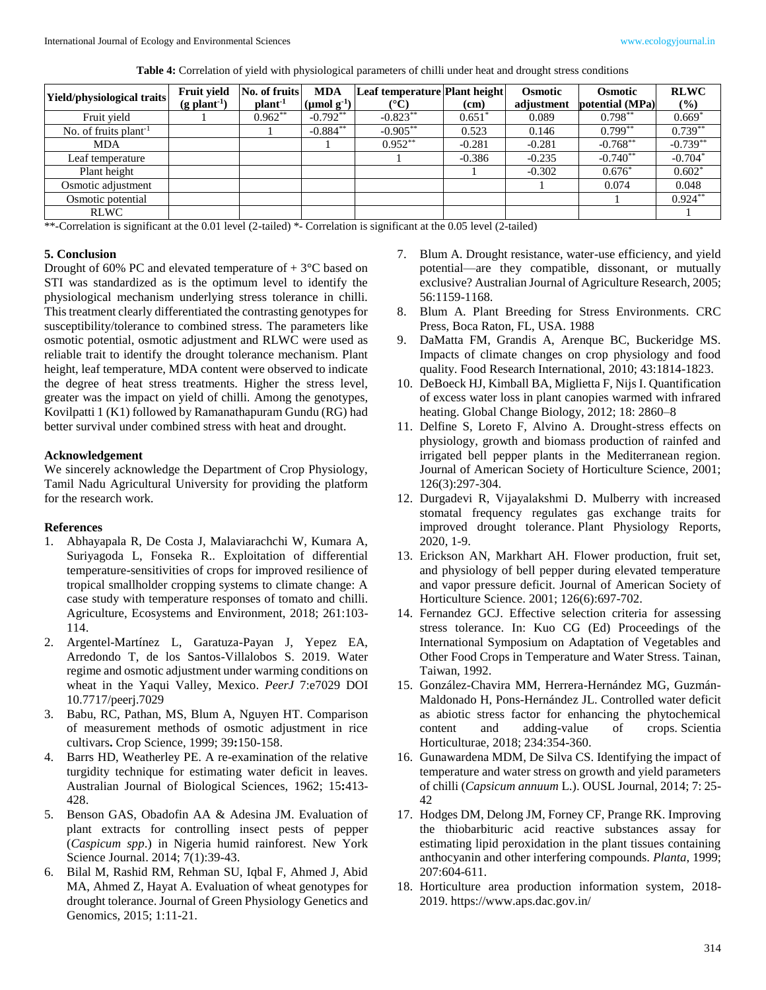**Table 4:** Correlation of yield with physiological parameters of chilli under heat and drought stress conditions

| Yield/physiological traits        | Fruit yield<br>$(g$ plant <sup>-1</sup> ) | No. of fruits<br>plant <sup>-1</sup> | <b>MDA</b><br>$(\mu \text{mol g}^{-1})$ | Leaf temperature Plant height | (cm)     | <b>Osmotic</b><br>adjustment | <b>Osmotic</b><br>potential (MPa) | <b>RLWC</b><br>$\frac{9}{6}$ |
|-----------------------------------|-------------------------------------------|--------------------------------------|-----------------------------------------|-------------------------------|----------|------------------------------|-----------------------------------|------------------------------|
| Fruit yield                       |                                           | $0.962**$                            | $-0.792**$                              | $-0.823**$                    | $0.651*$ | 0.089                        | $0.798**$                         | $0.669*$                     |
| No. of fruits plant <sup>-1</sup> |                                           |                                      | $-0.884***$                             | $-0.905***$                   | 0.523    | 0.146                        | $0.799**$                         | $0.739**$                    |
| <b>MDA</b>                        |                                           |                                      |                                         | $0.952**$                     | $-0.281$ | $-0.281$                     | $-0.768**$                        | $-0.739**$                   |
| Leaf temperature                  |                                           |                                      |                                         |                               | $-0.386$ | $-0.235$                     | $-0.740**$                        | $-0.704*$                    |
| Plant height                      |                                           |                                      |                                         |                               |          | $-0.302$                     | $0.676*$                          | $0.602*$                     |
| Osmotic adjustment                |                                           |                                      |                                         |                               |          |                              | 0.074                             | 0.048                        |
| Osmotic potential                 |                                           |                                      |                                         |                               |          |                              |                                   | $0.924***$                   |
| <b>RLWC</b>                       |                                           |                                      |                                         |                               |          |                              |                                   |                              |

\*\*-Correlation is significant at the 0.01 level (2-tailed) \*- Correlation is significant at the 0.05 level (2-tailed)

### **5. Conclusion**

Drought of 60% PC and elevated temperature of  $+3^{\circ}$ C based on STI was standardized as is the optimum level to identify the physiological mechanism underlying stress tolerance in chilli. This treatment clearly differentiated the contrasting genotypes for susceptibility/tolerance to combined stress. The parameters like osmotic potential, osmotic adjustment and RLWC were used as reliable trait to identify the drought tolerance mechanism. Plant height, leaf temperature, MDA content were observed to indicate the degree of heat stress treatments. Higher the stress level, greater was the impact on yield of chilli. Among the genotypes, Kovilpatti 1 (K1) followed by Ramanathapuram Gundu (RG) had better survival under combined stress with heat and drought.

### **Acknowledgement**

We sincerely acknowledge the Department of Crop Physiology, Tamil Nadu Agricultural University for providing the platform for the research work.

### **References**

- 1. Abhayapala R, De Costa J, Malaviarachchi W, Kumara A, Suriyagoda L, Fonseka R.. Exploitation of differential temperature-sensitivities of crops for improved resilience of tropical smallholder cropping systems to climate change: A case study with temperature responses of tomato and chilli. Agriculture, Ecosystems and Environment, 2018; 261:103- 114.
- 2. Argentel-Martínez L, Garatuza-Payan J, Yepez EA, Arredondo T, de los Santos-Villalobos S. 2019. Water regime and osmotic adjustment under warming conditions on wheat in the Yaqui Valley, Mexico. *PeerJ* 7:e7029 DOI 10.7717/peerj.7029
- 3. Babu, RC, Pathan, MS, Blum A, Nguyen HT. Comparison of measurement methods of osmotic adjustment in rice cultivars**.** Crop Science, 1999; 39**:**150-158.
- 4. Barrs HD, Weatherley PE. A re-examination of the relative turgidity technique for estimating water deficit in leaves. Australian Journal of Biological Sciences, 1962; 15**:**413- 428.
- 5. Benson GAS, Obadofin AA & Adesina JM. Evaluation of plant extracts for controlling insect pests of pepper (*Caspicum spp*.) in Nigeria humid rainforest. New York Science Journal. 2014; 7(1):39-43.
- 6. Bilal M, Rashid RM, Rehman SU, Iqbal F, Ahmed J, Abid MA, Ahmed Z, Hayat A. Evaluation of wheat genotypes for drought tolerance. Journal of Green Physiology Genetics and Genomics, 2015; 1:11-21.
- 7. Blum A. Drought resistance, water-use efficiency, and yield potential—are they compatible, dissonant, or mutually exclusive? Australian Journal of Agriculture Research, 2005; 56:1159-1168.
- 8. Blum A. Plant Breeding for Stress Environments. CRC Press, Boca Raton, FL, USA. 1988
- 9. DaMatta FM, Grandis A, Arenque BC, Buckeridge MS. Impacts of climate changes on crop physiology and food quality. Food Research International, 2010; 43:1814-1823.
- 10. DeBoeck HJ, Kimball BA, Miglietta F, Nijs I. Quantification of excess water loss in plant canopies warmed with infrared heating. Global Change Biology, 2012; 18: 2860–8
- 11. Delfine S, Loreto F, Alvino A. Drought-stress effects on physiology, growth and biomass production of rainfed and irrigated bell pepper plants in the Mediterranean region. Journal of American Society of Horticulture Science, 2001; 126(3):297-304.
- 12. Durgadevi R, Vijayalakshmi D. Mulberry with increased stomatal frequency regulates gas exchange traits for improved drought tolerance. Plant Physiology Reports, 2020, 1-9.
- 13. Erickson AN, Markhart AH. Flower production, fruit set, and physiology of bell pepper during elevated temperature and vapor pressure deficit. Journal of American Society of Horticulture Science. 2001; 126(6):697-702.
- 14. Fernandez GCJ. Effective selection criteria for assessing stress tolerance. In: Kuo CG (Ed) Proceedings of the International Symposium on Adaptation of Vegetables and Other Food Crops in Temperature and Water Stress. Tainan, Taiwan, 1992.
- 15. González-Chavira MM, Herrera-Hernández MG, Guzmán-Maldonado H, Pons-Hernández JL. Controlled water deficit as abiotic stress factor for enhancing the phytochemical content and adding-value of crops. Scientia Horticulturae, 2018; 234:354-360.
- 16. Gunawardena MDM, De Silva CS. Identifying the impact of temperature and water stress on growth and yield parameters of chilli (*Capsicum annuum* L.). OUSL Journal, 2014; 7: 25- 42
- 17. Hodges DM, Delong JM, Forney CF, Prange RK. Improving the thiobarbituric acid reactive substances assay for estimating lipid peroxidation in the plant tissues containing anthocyanin and other interfering compounds. *Planta*, 1999; 207:604-611.
- 18. Horticulture area production information system, 2018- 2019. https://www.aps.dac.gov.in/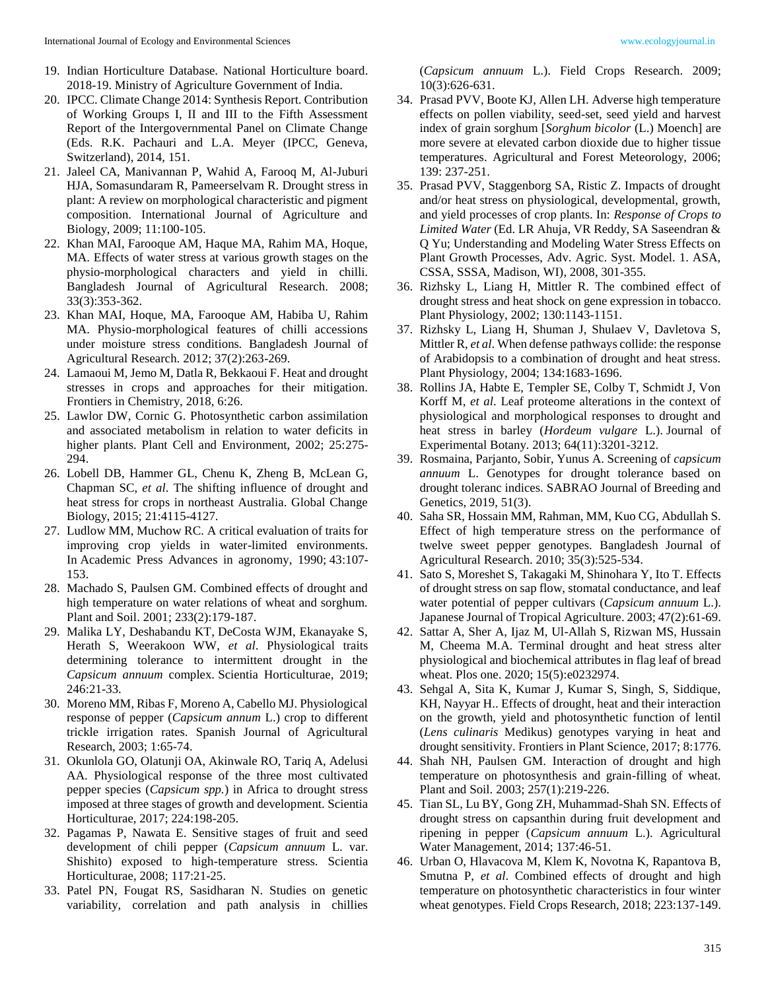- 20. IPCC. Climate Change 2014: Synthesis Report. Contribution of Working Groups I, II and III to the Fifth Assessment Report of the Intergovernmental Panel on Climate Change (Eds. R.K. Pachauri and L.A. Meyer (IPCC, Geneva, Switzerland), 2014, 151.
- 21. Jaleel CA, Manivannan P, Wahid A, Farooq M, Al-Juburi HJA, Somasundaram R, Pameerselvam R. Drought stress in plant: A review on morphological characteristic and pigment composition. International Journal of Agriculture and Biology, 2009; 11:100-105.
- 22. Khan MAI, Farooque AM, Haque MA, Rahim MA, Hoque, MA. Effects of water stress at various growth stages on the physio-morphological characters and yield in chilli. Bangladesh Journal of Agricultural Research. 2008; 33(3):353-362.
- 23. Khan MAI, Hoque, MA, Farooque AM, Habiba U, Rahim MA. Physio-morphological features of chilli accessions under moisture stress conditions*.* Bangladesh Journal of Agricultural Research. 2012; 37(2):263-269.
- 24. Lamaoui M, Jemo M, Datla R, Bekkaoui F. Heat and drought stresses in crops and approaches for their mitigation. Frontiers in Chemistry, 2018, 6:26.
- 25. Lawlor DW, Cornic G. Photosynthetic carbon assimilation and associated metabolism in relation to water deficits in higher plants. Plant Cell and Environment, 2002; 25:275- 294.
- 26. Lobell DB, Hammer GL, Chenu K, Zheng B, McLean G, Chapman SC, *et al*. The shifting influence of drought and heat stress for crops in northeast Australia. Global Change Biology, 2015; 21:4115-4127.
- 27. Ludlow MM, Muchow RC. A critical evaluation of traits for improving crop yields in water-limited environments. In Academic Press Advances in agronomy, 1990; 43:107- 153.
- 28. Machado S, Paulsen GM. Combined effects of drought and high temperature on water relations of wheat and sorghum. Plant and Soil. 2001; 233(2):179-187.
- 29. Malika LY, Deshabandu KT, DeCosta WJM, Ekanayake S, Herath S, Weerakoon WW, *et al*. Physiological traits determining tolerance to intermittent drought in the *Capsicum annuum* complex. Scientia Horticulturae, 2019; 246:21-33.
- 30. Moreno MM, Ribas F, Moreno A, Cabello MJ. Physiological response of pepper (*Capsicum annum* L.) crop to different trickle irrigation rates. Spanish Journal of Agricultural Research, 2003; 1:65-74.
- 31. Okunlola GO, Olatunji OA, Akinwale RO, Tariq A, Adelusi AA. Physiological response of the three most cultivated pepper species (*Capsicum spp.*) in Africa to drought stress imposed at three stages of growth and development. Scientia Horticulturae, 2017; 224:198-205.
- 32. Pagamas P, Nawata E. Sensitive stages of fruit and seed development of chili pepper (*Capsicum annuum* L. var. Shishito) exposed to high-temperature stress. Scientia Horticulturae, 2008; 117:21-25.
- 33. Patel PN, Fougat RS, Sasidharan N. Studies on genetic variability, correlation and path analysis in chillies

(*Capsicum annuum* L.). Field Crops Research. 2009; 10(3):626-631.

- 34. Prasad PVV, Boote KJ, Allen LH. Adverse high temperature effects on pollen viability, seed-set, seed yield and harvest index of grain sorghum [*Sorghum bicolor* (L.) Moench] are more severe at elevated carbon dioxide due to higher tissue temperatures. Agricultural and Forest Meteorology, 2006; 139: 237-251.
- 35. Prasad PVV, Staggenborg SA, Ristic Z. Impacts of drought and/or heat stress on physiological, developmental, growth, and yield processes of crop plants. In: *Response of Crops to Limited Water* (Ed. LR Ahuja, VR Reddy, SA Saseendran & Q Yu; Understanding and Modeling Water Stress Effects on Plant Growth Processes, Adv. Agric. Syst. Model. 1. ASA, CSSA, SSSA, Madison, WI), 2008, 301-355.
- 36. Rizhsky L, Liang H, Mittler R. The combined effect of drought stress and heat shock on gene expression in tobacco. Plant Physiology*,* 2002; 130:1143-1151.
- 37. Rizhsky L, Liang H, Shuman J, Shulaev V, Davletova S, Mittler R, *et al*. When defense pathways collide: the response of Arabidopsis to a combination of drought and heat stress. Plant Physiology, 2004; 134:1683-1696.
- 38. Rollins JA, Habte E, Templer SE, Colby T, Schmidt J, Von Korff M, *et al*. Leaf proteome alterations in the context of physiological and morphological responses to drought and heat stress in barley (*Hordeum vulgare* L.). Journal of Experimental Botany. 2013; 64(11):3201-3212.
- 39. Rosmaina, Parjanto, Sobir, Yunus A. Screening of *capsicum annuum* L. Genotypes for drought tolerance based on drought toleranc indices. SABRAO Journal of Breeding and Genetics, 2019, 51(3).
- 40. Saha SR, Hossain MM, Rahman, MM, Kuo CG, Abdullah S. Effect of high temperature stress on the performance of twelve sweet pepper genotypes. Bangladesh Journal of Agricultural Research. 2010; 35(3):525-534.
- 41. Sato S, Moreshet S, Takagaki M, Shinohara Y, Ito T. Effects of drought stress on sap flow, stomatal conductance, and leaf water potential of pepper cultivars (*Capsicum annuum* L.). Japanese Journal of Tropical Agriculture. 2003; 47(2):61-69.
- 42. Sattar A, Sher A, Ijaz M, Ul-Allah S, Rizwan MS, Hussain M, Cheema M.A. Terminal drought and heat stress alter physiological and biochemical attributes in flag leaf of bread wheat. Plos one. 2020; 15(5):e0232974.
- 43. Sehgal A, Sita K, Kumar J, Kumar S, Singh, S, Siddique, KH, Nayyar H.. Effects of drought, heat and their interaction on the growth, yield and photosynthetic function of lentil (*Lens culinaris* Medikus) genotypes varying in heat and drought sensitivity. Frontiers in Plant Science, 2017; 8:1776.
- 44. Shah NH, Paulsen GM. Interaction of drought and high temperature on photosynthesis and grain-filling of wheat. Plant and Soil. 2003; 257(1):219-226.
- 45. Tian SL, Lu BY, Gong ZH, Muhammad-Shah SN. Effects of drought stress on capsanthin during fruit development and ripening in pepper (*Capsicum annuum* L.). Agricultural Water Management, 2014; 137:46-51.
- 46. Urban O, Hlavacova M, Klem K, Novotna K, Rapantova B, Smutna P, *et al*. Combined effects of drought and high temperature on photosynthetic characteristics in four winter wheat genotypes. Field Crops Research, 2018; 223:137-149.